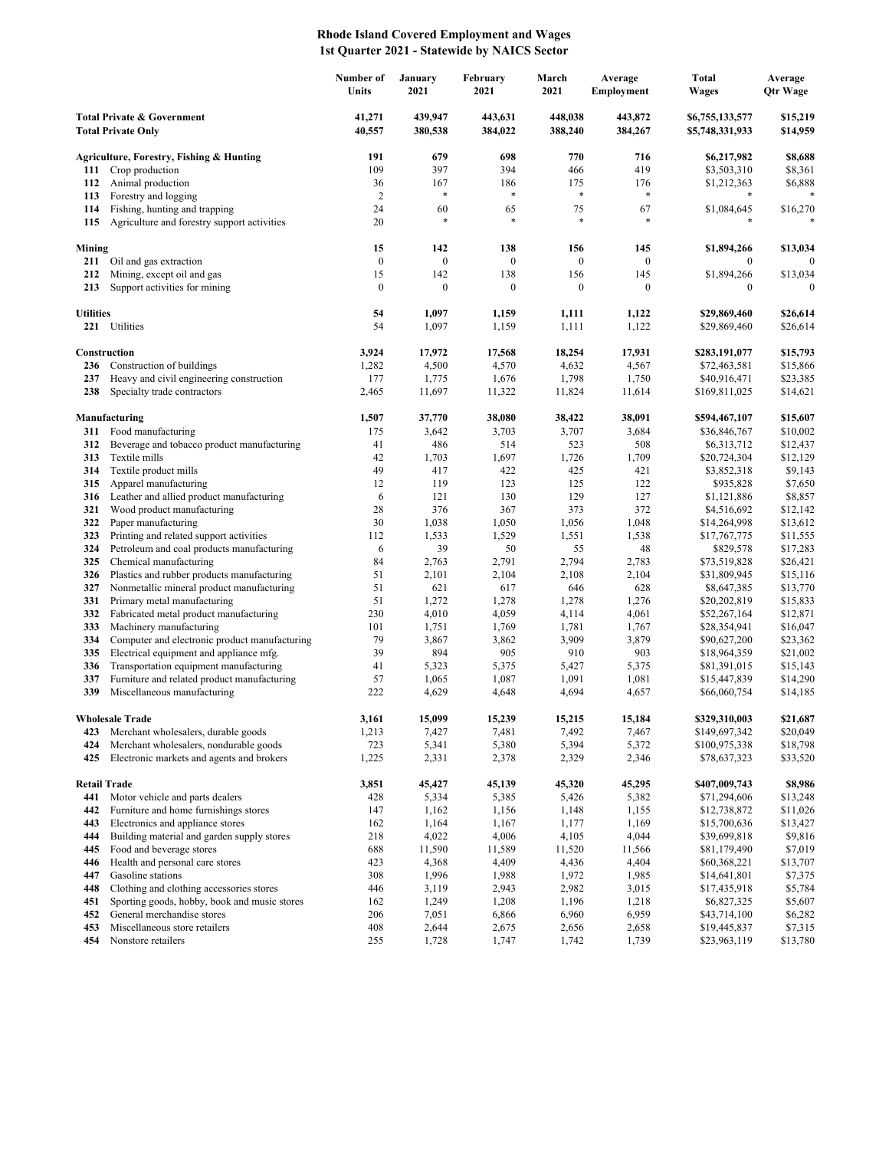## **Rhode Island Covered Employment and Wages 1st Quarter 2021 - Statewide by NAICS Sector**

|                                                                    |                                                                                          | Number of<br>Units     | January<br>2021         | February<br>2021        | March<br>2021           | Average<br>Employment | Total<br><b>Wages</b>              | Average<br>Qtr Wage  |
|--------------------------------------------------------------------|------------------------------------------------------------------------------------------|------------------------|-------------------------|-------------------------|-------------------------|-----------------------|------------------------------------|----------------------|
| <b>Total Private &amp; Government</b><br><b>Total Private Only</b> |                                                                                          | 41,271<br>40,557       | 439,947<br>380,538      | 443,631<br>384,022      | 448,038<br>388,240      | 443,872<br>384,267    | \$6,755,133,577<br>\$5,748,331,933 | \$15,219<br>\$14,959 |
|                                                                    | Agriculture, Forestry, Fishing & Hunting                                                 | 191                    | 679                     | 698                     | 770                     | 716                   | \$6,217,982                        | \$8,688              |
| 111                                                                | Crop production                                                                          | 109                    | 397                     | 394                     | 466                     | 419                   | \$3,503,310                        | \$8,361              |
| 112                                                                | Animal production                                                                        | 36                     | 167                     | 186                     | 175                     | 176                   | \$1,212,363                        | \$6,888              |
| 113                                                                | Forestry and logging                                                                     | $\overline{2}$         | *                       | *                       | $\ast$                  | $\ast$                |                                    |                      |
| 114<br>115                                                         | Fishing, hunting and trapping<br>Agriculture and forestry support activities             | 24<br>20               | 60<br>*                 | 65<br>*                 | 75<br>$\ast$            | 67                    | \$1,084,645                        | \$16,270             |
| Mining                                                             |                                                                                          | 15                     | 142                     | 138                     | 156                     | 145                   | \$1,894,266                        | \$13,034             |
| 211                                                                | Oil and gas extraction                                                                   | $\boldsymbol{0}$       | $\boldsymbol{0}$        | $\mathbf{0}$            | $\boldsymbol{0}$        | $\mathbf{0}$          | $\boldsymbol{0}$                   | $\theta$             |
| 212<br>213                                                         | Mining, except oil and gas<br>Support activities for mining                              | 15<br>$\boldsymbol{0}$ | 142<br>$\boldsymbol{0}$ | 138<br>$\boldsymbol{0}$ | 156<br>$\boldsymbol{0}$ | 145<br>$\mathbf{0}$   | \$1,894,266<br>$\mathbf{0}$        | \$13,034<br>0        |
| <b>Utilities</b>                                                   |                                                                                          | 54                     | 1,097                   | 1,159                   | 1,111                   | 1,122                 | \$29,869,460                       | \$26,614             |
|                                                                    | 221 Utilities                                                                            | 54                     | 1,097                   | 1,159                   | 1,111                   | 1,122                 | \$29,869,460                       | \$26,614             |
|                                                                    | Construction                                                                             | 3,924                  | 17,972                  | 17,568                  | 18,254                  | 17,931                | \$283,191,077                      | \$15,793             |
| 236                                                                | Construction of buildings                                                                | 1,282                  | 4,500                   | 4,570                   | 4,632                   | 4,567                 | \$72,463,581                       | \$15,866             |
| 237                                                                | Heavy and civil engineering construction                                                 | 177                    | 1,775                   | 1,676                   | 1,798                   | 1,750                 | \$40,916,471                       | \$23,385             |
| 238                                                                | Specialty trade contractors                                                              | 2,465                  | 11,697                  | 11,322                  | 11,824                  | 11,614                | \$169,811,025                      | \$14,621             |
|                                                                    | Manufacturing                                                                            | 1,507                  | 37,770                  | 38,080                  | 38,422                  | 38,091                | \$594,467,107                      | \$15,607             |
| 311                                                                | Food manufacturing                                                                       | 175                    | 3,642                   | 3,703                   | 3,707                   | 3,684                 | \$36,846,767                       | \$10,002             |
| 312<br>313                                                         | Beverage and tobacco product manufacturing<br>Textile mills                              | 41<br>42               | 486<br>1,703            | 514<br>1,697            | 523<br>1,726            | 508<br>1,709          | \$6,313,712<br>\$20,724,304        | \$12,437<br>\$12,129 |
| 314                                                                | Textile product mills                                                                    | 49                     | 417                     | 422                     | 425                     | 421                   | \$3,852,318                        | \$9,143              |
| 315                                                                | Apparel manufacturing                                                                    | 12                     | 119                     | 123                     | 125                     | 122                   | \$935,828                          | \$7,650              |
| 316                                                                | Leather and allied product manufacturing                                                 | 6                      | 121                     | 130                     | 129                     | 127                   | \$1,121,886                        | \$8,857              |
| 321                                                                | Wood product manufacturing                                                               | 28                     | 376                     | 367                     | 373                     | 372                   | \$4,516,692                        | \$12,142             |
| 322                                                                | Paper manufacturing                                                                      | 30                     | 1,038                   | 1,050                   | 1,056                   | 1,048                 | \$14,264,998                       | \$13,612             |
| 323<br>324                                                         | Printing and related support activities                                                  | 112<br>6               | 1,533<br>39             | 1,529                   | 1,551                   | 1,538                 | \$17,767,775                       | \$11,555             |
| 325                                                                | Petroleum and coal products manufacturing<br>Chemical manufacturing                      | 84                     | 2,763                   | 50<br>2,791             | 55<br>2,794             | 48<br>2,783           | \$829,578<br>\$73,519,828          | \$17,283<br>\$26,421 |
| 326                                                                | Plastics and rubber products manufacturing                                               | 51                     | 2,101                   | 2,104                   | 2,108                   | 2,104                 | \$31,809,945                       | \$15,116             |
| 327                                                                | Nonmetallic mineral product manufacturing                                                | 51                     | 621                     | 617                     | 646                     | 628                   | \$8,647,385                        | \$13,770             |
| 331                                                                | Primary metal manufacturing                                                              | 51                     | 1,272                   | 1,278                   | 1,278                   | 1,276                 | \$20,202,819                       | \$15,833             |
| 332                                                                | Fabricated metal product manufacturing                                                   | 230                    | 4,010                   | 4,059                   | 4,114                   | 4,061                 | \$52,267,164                       | \$12,871             |
| 333                                                                | Machinery manufacturing                                                                  | 101                    | 1,751                   | 1,769                   | 1,781                   | 1,767                 | \$28,354,941                       | \$16,047             |
| 334<br>335                                                         | Computer and electronic product manufacturing<br>Electrical equipment and appliance mfg. | 79<br>39               | 3,867<br>894            | 3,862<br>905            | 3,909<br>910            | 3,879<br>903          | \$90,627,200<br>\$18,964,359       | \$23,362<br>\$21,002 |
| 336                                                                | Transportation equipment manufacturing                                                   | 41                     | 5,323                   | 5,375                   | 5,427                   | 5,375                 | \$81,391,015                       | \$15,143             |
| 337                                                                | Furniture and related product manufacturing                                              | 57                     | 1,065                   | 1,087                   | 1,091                   | 1,081                 | \$15,447,839                       | \$14,290             |
| 339                                                                | Miscellaneous manufacturing                                                              | 222                    | 4,629                   | 4,648                   | 4,694                   | 4,657                 | \$66,060,754                       | \$14,185             |
|                                                                    | <b>Wholesale Trade</b>                                                                   | 3,161                  | 15,099                  | 15,239                  | 15,215                  | 15,184                | \$329,310,003                      | \$21,687             |
| 423                                                                | Merchant wholesalers, durable goods                                                      | 1,213                  | 7,427                   | 7,481                   | 7,492                   | 7,467                 | \$149,697,342                      | \$20,049             |
| 424<br>425                                                         | Merchant wholesalers, nondurable goods<br>Electronic markets and agents and brokers      | 723<br>1,225           | 5,341<br>2,331          | 5,380<br>2,378          | 5,394<br>2,329          | 5,372<br>2,346        | \$100,975,338<br>\$78,637,323      | \$18,798<br>\$33,520 |
| <b>Retail Trade</b>                                                |                                                                                          | 3,851                  | 45,427                  | 45,139                  | 45,320                  | 45,295                | \$407,009,743                      | \$8,986              |
| 441                                                                | Motor vehicle and parts dealers                                                          | 428                    | 5,334                   | 5,385                   | 5,426                   | 5,382                 | \$71,294,606                       | \$13,248             |
| 442                                                                | Furniture and home furnishings stores                                                    | 147                    | 1,162                   | 1,156                   | 1,148                   | 1,155                 | \$12,738,872                       | \$11,026             |
| 443                                                                | Electronics and appliance stores                                                         | 162                    | 1,164                   | 1,167                   | 1,177                   | 1,169                 | \$15,700,636                       | \$13,427             |
| 444                                                                | Building material and garden supply stores                                               | 218                    | 4,022                   | 4,006                   | 4,105                   | 4,044                 | \$39,699,818                       | \$9,816              |
| 445                                                                | Food and beverage stores                                                                 | 688                    | 11,590                  | 11,589                  | 11,520                  | 11,566                | \$81,179,490                       | \$7,019              |
| 446<br>447                                                         | Health and personal care stores<br>Gasoline stations                                     | 423<br>308             | 4,368<br>1,996          | 4,409<br>1,988          | 4,436<br>1,972          | 4,404<br>1,985        | \$60,368,221<br>\$14,641,801       | \$13,707<br>\$7,375  |
| 448                                                                | Clothing and clothing accessories stores                                                 | 446                    | 3,119                   | 2,943                   | 2,982                   | 3,015                 | \$17,435,918                       | \$5,784              |
| 451                                                                | Sporting goods, hobby, book and music stores                                             | 162                    | 1,249                   | 1,208                   | 1,196                   | 1,218                 | \$6,827,325                        | \$5,607              |
| 452                                                                | General merchandise stores                                                               | 206                    | 7,051                   | 6,866                   | 6,960                   | 6,959                 | \$43,714,100                       | \$6,282              |
| 453                                                                | Miscellaneous store retailers                                                            | 408                    | 2,644                   | 2,675                   | 2,656                   | 2,658                 | \$19,445,837                       | \$7,315              |
| 454                                                                | Nonstore retailers                                                                       | 255                    | 1,728                   | 1,747                   | 1,742                   | 1,739                 | \$23,963,119                       | \$13,780             |